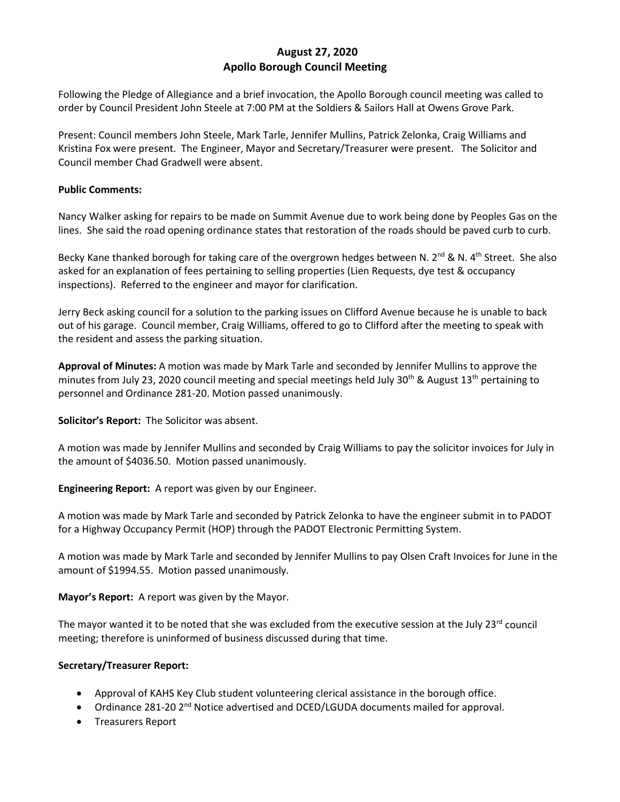# **August 27, 2020 Apollo Borough Council Meeting**

Following the Pledge of Allegiance and a brief invocation, the Apollo Borough council meeting was called to order by Council President John Steele at 7:00 PM at the Soldiers & Sailors Hall at Owens Grove Park.

Present: Council members John Steele, Mark Tarle, Jennifer Mullins, Patrick Zelonka, Craig Williams and Kristina Fox were present. The Engineer, Mayor and Secretary/Treasurer were present. The Solicitor and Council member Chad Gradwell were absent.

### **Public Comments:**

Nancy Walker asking for repairs to be made on Summit Avenue due to work being done by Peoples Gas on the lines. She said the road opening ordinance states that restoration of the roads should be paved curb to curb.

Becky Kane thanked borough for taking care of the overgrown hedges between N. 2<sup>nd</sup> & N. 4<sup>th</sup> Street. She also asked for an explanation of fees pertaining to selling properties (Lien Requests, dye test & occupancy inspections). Referred to the engineer and mayor for clarification.

Jerry Beck asking council for a solution to the parking issues on Clifford Avenue because he is unable to back out of his garage. Council member, Craig Williams, offered to go to Clifford after the meeting to speak with the resident and assess the parking situation.

**Approval of Minutes:** A motion was made by Mark Tarle and seconded by Jennifer Mullins to approve the minutes from July 23, 2020 council meeting and special meetings held July 30<sup>th</sup> & August 13<sup>th</sup> pertaining to personnel and Ordinance 281-20. Motion passed unanimously.

**Solicitor's Report:** The Solicitor was absent.

A motion was made by Jennifer Mullins and seconded by Craig Williams to pay the solicitor invoices for July in the amount of \$4036.50. Motion passed unanimously.

**Engineering Report:** A report was given by our Engineer.

A motion was made by Mark Tarle and seconded by Patrick Zelonka to have the engineer submit in to PADOT for a Highway Occupancy Permit (HOP) through the PADOT Electronic Permitting System.

A motion was made by Mark Tarle and seconded by Jennifer Mullins to pay Olsen Craft Invoices for June in the amount of \$1994.55. Motion passed unanimously.

**Mayor's Report:** A report was given by the Mayor.

The mayor wanted it to be noted that she was excluded from the executive session at the July 23 $^{\text{rd}}$  council meeting; therefore is uninformed of business discussed during that time.

## **Secretary/Treasurer Report:**

- Approval of KAHS Key Club student volunteering clerical assistance in the borough office.
- Ordinance 281-20 2<sup>nd</sup> Notice advertised and DCED/LGUDA documents mailed for approval.
- Treasurers Report